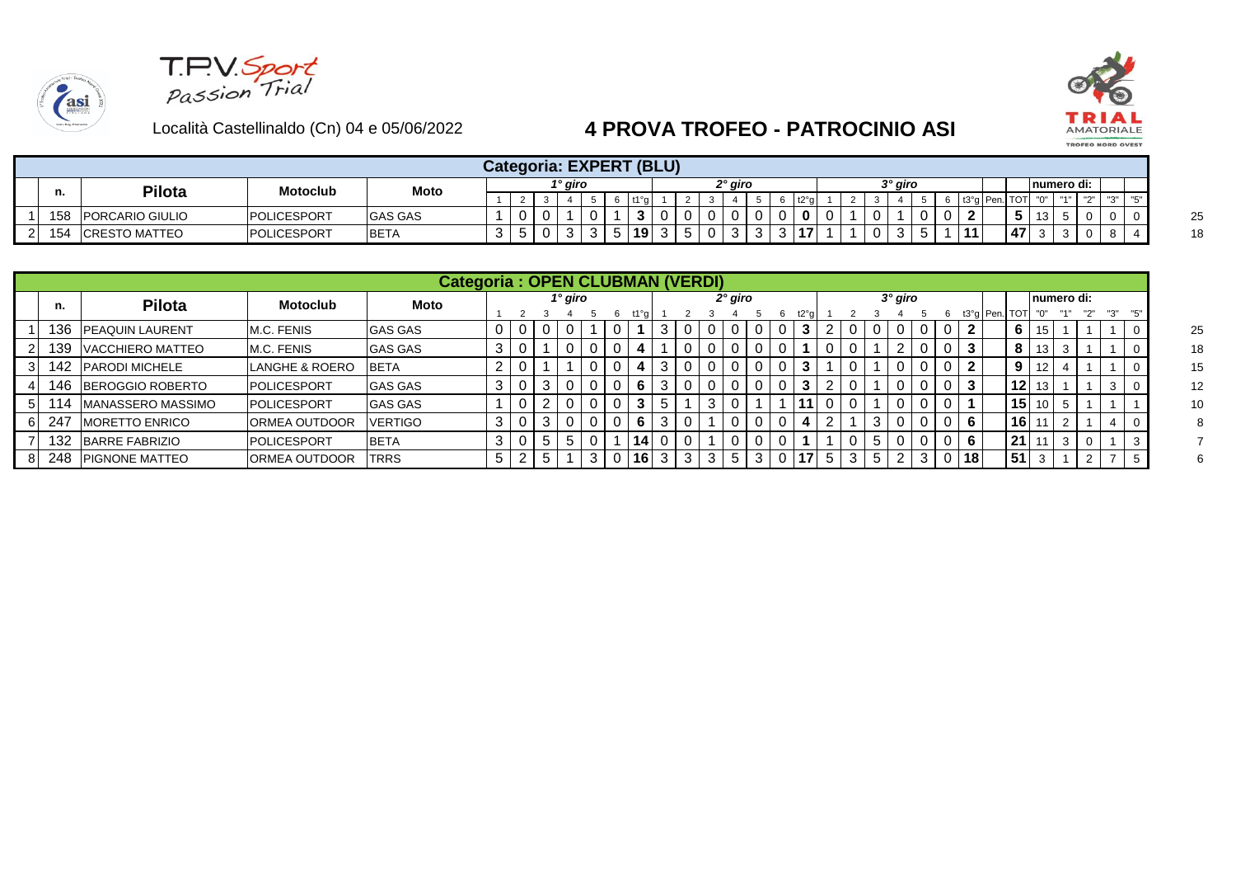





|            |                        |                     |                |   |    |   |         |             |   |    | Categoria: EXPERT (BLU) |         |   |                     |   |   |      |  |    |         |  |                 |           |      |            |                              |  |
|------------|------------------------|---------------------|----------------|---|----|---|---------|-------------|---|----|-------------------------|---------|---|---------------------|---|---|------|--|----|---------|--|-----------------|-----------|------|------------|------------------------------|--|
|            | Pilota                 | <b>Motoclub</b>     | Moto           |   |    |   | 1° giro |             |   |    |                         |         |   | <sup>ว</sup> ° giro |   |   |      |  |    | 3° qiro |  |                 |           |      | numero di: |                              |  |
|            |                        |                     |                |   |    |   |         |             |   |    |                         |         |   |                     |   |   | t2°q |  |    |         |  |                 | t3°a Pen. | TOTI |            | $\mathbf{H} \cap \mathbf{H}$ |  |
| 158        | <b>PORCARIO GIULIO</b> | <b>IPOLICESPORT</b> | <b>GAS GAS</b> |   | 0  |   |         | $\mathbf 0$ |   | 3  | $\mathbf 0$             | 0       |   | ັບ                  |   |   |      |  | 0  |         |  | -               |           | w    |            |                              |  |
| 151<br>ט ו | <b>ICRESTO MATTEO</b>  | POLICESPORT         | <b>BETA</b>    | ັ | ັບ | U | ູບ      | ູບ          | ີ | 19 | 3                       | Б.<br>◡ | U | ັ                   | ັ | ັ | 17   |  | 0. | . ب     |  | $\overline{11}$ |           | 47   |            |                              |  |

|     |                          |                           | <b>Categoria: OPEN CLUBMAN (VERDI)</b> |        |   |   |         |             |    |    |   |   |           |   |   |      |            |   |   |           |   |                 |                   |     |             |  |  |  |
|-----|--------------------------|---------------------------|----------------------------------------|--------|---|---|---------|-------------|----|----|---|---|-----------|---|---|------|------------|---|---|-----------|---|-----------------|-------------------|-----|-------------|--|--|--|
| п.  | <b>Pilota</b>            | <b>Motoclub</b>           | Moto                                   |        |   |   | 1° giro |             |    |    |   |   | $2°$ giro |   |   |      |            |   |   | $3°$ giro |   |                 |                   |     | Inumero di: |  |  |  |
|     |                          |                           |                                        |        |   |   |         |             |    |    |   |   |           |   |   | t2°a |            |   |   |           | b |                 | t3°g   Pen.   TOT | "0" |             |  |  |  |
| 136 | <b>IPEAQUIN LAURENT</b>  | M.C. FENIS                | <b>GAS GAS</b>                         |        | U |   |         | $\mathbf 0$ |    |    |   |   |           |   |   | 3    |            |   |   |           |   |                 | 6                 |     |             |  |  |  |
| 139 | VACCHIERO MATTEO         | M.C. FENIS                | <b>GAS GAS</b>                         | J      | υ |   |         |             |    |    | 0 |   |           |   |   |      |            |   |   |           |   | 3               | 8                 | 13  | 3           |  |  |  |
| 142 | <b>PARODI MICHELE</b>    | <b>LANGHE &amp; ROERO</b> | <b>BETA</b>                            |        | υ |   |         |             | 4  | -3 |   |   | 0         |   | 0 | 3    |            |   |   |           |   |                 | 9                 |     |             |  |  |  |
| 146 | <b>IBEROGGIO ROBERTO</b> | <b>POLICESPORT</b>        | <b>GAS GAS</b>                         | J      | U |   |         |             | 6  | 3  |   |   |           |   |   | 3    | $\epsilon$ |   |   |           |   | 3               | 12 <sub>1</sub>   |     |             |  |  |  |
| 14  | MANASSERO MASSIMO        | <b>POLICESPORT</b>        | <b>GAS GAS</b>                         |        | υ |   |         | $\Omega$    | 3  | 5  |   | 3 | 0         |   |   | 11   |            |   |   |           |   |                 | 15 <sup>1</sup>   |     | 5           |  |  |  |
| 247 | <b>MORETTO ENRICO</b>    | <b>ORMEA OUTDOOR</b>      | VERTIGO                                | 3      | 0 | 3 |         |             | 6  | -3 |   |   |           |   | 0 | 4    | $\epsilon$ |   | 3 |           |   | 6               | 16 <sub>1</sub>   |     | ▵           |  |  |  |
| 132 | BARRE FABRIZIO           | <b>POLICESPORT</b>        | <b>BETA</b>                            | ົ<br>د | 0 | G |         |             | 14 |    |   |   |           |   |   |      |            |   | Ð |           |   | 6               | 21 <sup>1</sup>   |     | 3           |  |  |  |
| 248 | <b>IPIGNONE MATTEO</b>   | <b>ORMEA OUTDOOR</b>      | <b>TRRS</b>                            | 5      |   |   |         |             | 16 | 3  | 3 | 3 | 5         | 3 |   |      | 5          | 3 |   |           |   | 18 <sub>1</sub> | 51                |     |             |  |  |  |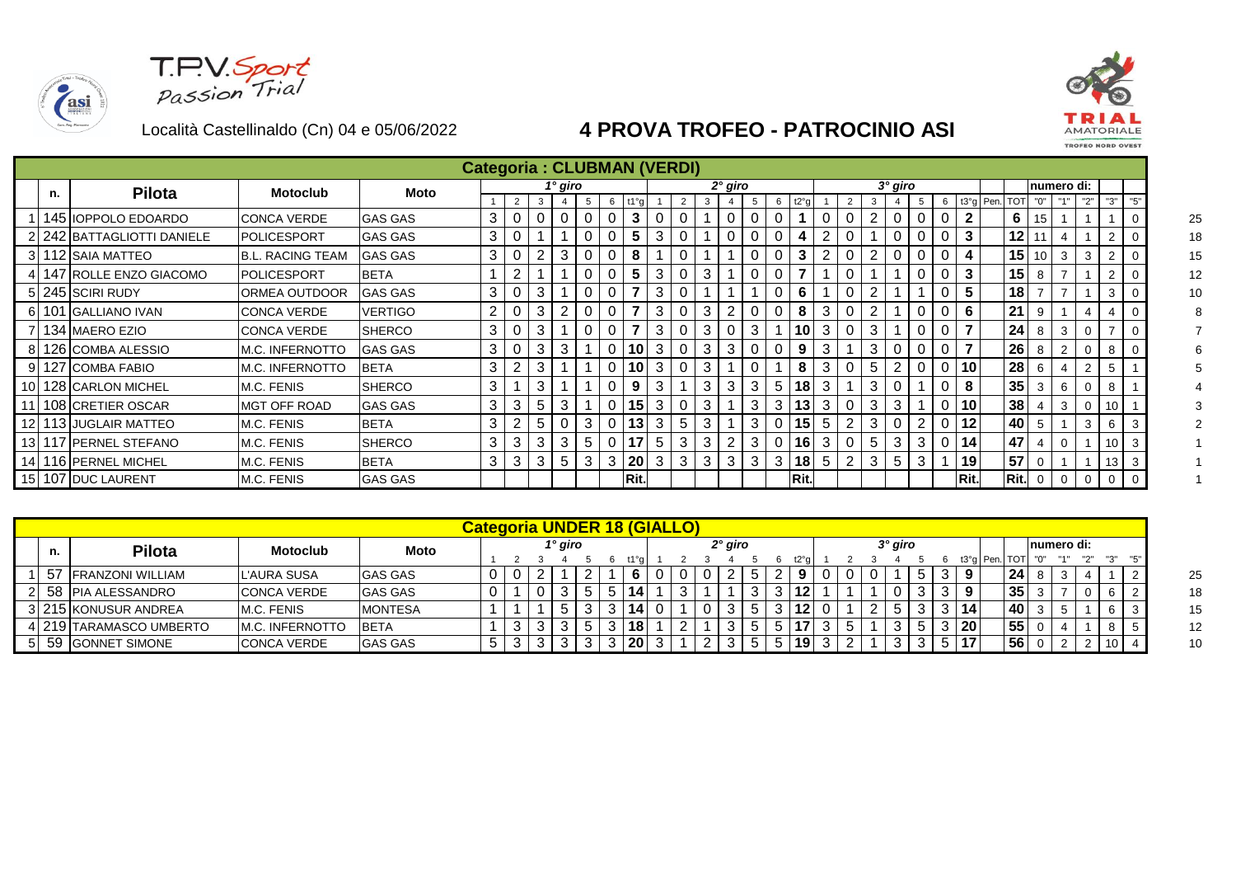asi





|     |    |                          |                         |                |   |   |   |         |   |   | <b>Categoria: CLUBMAN (VERDI)</b> |   |   |   |         |   |   |      |   |   |                |   |   |      |                   |                 |     |             |     |                |  |
|-----|----|--------------------------|-------------------------|----------------|---|---|---|---------|---|---|-----------------------------------|---|---|---|---------|---|---|------|---|---|----------------|---|---|------|-------------------|-----------------|-----|-------------|-----|----------------|--|
|     | n. | <b>Pilota</b>            | <b>Motoclub</b>         | <b>Moto</b>    |   |   |   | 1° giro |   |   |                                   |   |   |   | 2° giro |   |   |      |   |   | $3^\circ$ giro |   |   |      |                   |                 |     | Inumero di: |     |                |  |
|     |    |                          |                         |                |   |   | 3 |         | 5 | 6 |                                   |   |   | 3 |         | 5 | 6 | t2°  |   |   |                |   | 6 |      | t3°g   Pen.   TOT |                 | "0" |             | "2" | "3"            |  |
|     |    | 145   IOPPOLO EDOARDO    | <b>CONCA VERDE</b>      | <b>GAS GAS</b> | 3 |   |   |         |   |   | 3                                 |   |   |   |         | 0 |   |      |   |   |                |   |   |      |                   | 6               | 15  |             |     |                |  |
|     |    | 242 BATTAGLIOTTI DANIELE | <b>IPOLICESPORT</b>     | <b>GAS GAS</b> | 3 |   |   |         |   |   | 5                                 | 3 |   |   |         |   |   |      |   |   |                |   |   |      |                   | 12              |     |             |     | $\overline{2}$ |  |
|     |    | 3 112 SAIA MATTEO        | <b>B.L. RACING TEAM</b> | <b>GAS GAS</b> | 3 | U |   | 3       |   |   | 8                                 |   |   |   |         |   |   | 3    |   |   |                |   |   |      |                   | 15              | 10  | 3           | 3   |                |  |
|     |    | 147   ROLLE ENZO GIACOMO | <b>IPOLICESPORT</b>     | <b>BETA</b>    |   | 2 |   |         |   |   | 5                                 | 3 |   | 3 |         |   |   |      |   |   |                |   |   |      |                   | 15 <sup>1</sup> |     |             |     |                |  |
|     |    | 5 245 SCIRI RUDY         | <b>ORMEA OUTDOOR</b>    | <b>GAS GAS</b> | 3 |   | 3 |         | 0 |   |                                   | 3 |   |   |         |   |   | 6    |   |   |                |   |   | 5    |                   | 18              |     |             |     | 3              |  |
|     |    | 101 GALLIANO IVAN        | <b>CONCA VERDE</b>      | <b>VERTIGO</b> | 2 |   | 3 |         | 0 |   |                                   | 3 |   | 3 |         |   |   | 8    | 3 |   |                |   |   | 6    |                   | 21              | 9   |             |     |                |  |
|     |    | 134   MAERO EZIO         | ICONCA VERDE            | <b>ISHERCO</b> | 3 | υ | 3 |         | 0 | 0 |                                   | 3 |   | 3 |         | 3 |   | 10   | 3 | 3 |                |   |   |      |                   | 24 <sub>1</sub> | 8   | 3           |     |                |  |
|     |    | 126 ICOMBA ALESSIO       | <b>M.C. INFERNOTTO</b>  | <b>GAS GAS</b> | 3 |   | 3 | 3       |   | 0 | 10                                | 3 |   | 3 | 3       | 0 |   | 9    | 3 | 3 |                |   |   |      |                   | 26              | 8   |             |     | 8              |  |
|     |    | 127 COMBA FABIO          | M.C. INFERNOTTO         | <b>BETA</b>    | 3 | 2 | 3 |         |   | 0 | 10                                | 3 | 0 | 3 |         |   |   | 8    | 3 | 5 |                |   |   | 10   |                   | 28              | 6   |             |     | 5              |  |
| 1 C |    | 128 CARLON MICHEL        | M.C. FENIS              | <b>SHERCO</b>  | 3 |   | 3 |         |   | 0 | 9                                 | 3 |   | 3 | 3       | 3 | 5 | 18   | 3 | 3 | 0              |   |   | 8    |                   | 35              | 3   | 6           |     | 8              |  |
|     |    | 108 CRETIER OSCAR        | <b>MGT OFF ROAD</b>     | <b>GAS GAS</b> | 3 | 3 | 5 | 3       |   | 0 | 15                                | 3 |   | 3 |         | 3 | 3 | 13   | 3 | 3 | 3              |   |   | 10   |                   | 38              |     | 3           |     | 10             |  |
|     |    | 113 JUGLAIR MATTEO       | M.C. FENIS              | <b>BETA</b>    | 3 | 2 | 5 |         | 3 | 0 | 13                                | 3 | 5 | 3 |         | 3 |   | 15   | 5 | 3 |                |   |   | 12   |                   | 40              |     |             | 3   | 6              |  |
|     |    | 117 PERNEL STEFANO       | M.C. FENIS              | <b>SHERCO</b>  | 3 | 3 | 3 | 3       | 5 | 0 | 17                                | 5 | 3 | 3 |         | 3 | 0 | 16   | 3 | 5 | 3              | 3 |   | 14   |                   | 47              |     |             |     | 10             |  |
|     |    | 116 PERNEL MICHEL        | M.C. FENIS              | <b>BETA</b>    | 3 | 3 | 3 | 5       | 3 | 3 | 20                                | 3 | 3 | 3 | 3       | 3 | 3 | 18   | 5 | 3 | 5              | 3 |   | 19   |                   | 57              |     |             |     | 13             |  |
| 15  |    | 107 DUC LAURENT          | M.C. FENIS              | <b>GAS GAS</b> |   |   |   |         |   |   | Rit.                              |   |   |   |         |   |   | Rit. |   |   |                |   |   | Rit. |                   | Rit.            | 0   | 0           |     | 0              |  |

|     |                          |                         |                |  |         |  | Categoria UNDER 18 (GIALLO) |  |           |  |  |  |         |  |     |      |    |            |          |  |
|-----|--------------------------|-------------------------|----------------|--|---------|--|-----------------------------|--|-----------|--|--|--|---------|--|-----|------|----|------------|----------|--|
| n.  | <b>Pilota</b>            | Motoclub                | Moto           |  | 1° giro |  |                             |  | $2°$ giro |  |  |  | 3° giro |  |     |      |    | numero di: |          |  |
|     |                          |                         |                |  |         |  |                             |  |           |  |  |  |         |  | t3° | Pen. |    |            | יי כי יי |  |
| -57 | <b>IFRANZONI WILLIAM</b> | L'AURA SUSA             | <b>GAS GAS</b> |  |         |  |                             |  |           |  |  |  |         |  |     |      | 24 |            |          |  |
|     | 2 58 PIA ALESSANDRO      | <b>CONCA VERDE</b>      | <b>GAS GAS</b> |  |         |  | 14                          |  |           |  |  |  |         |  |     |      | 35 |            |          |  |
|     | 3 215 KONUSUR ANDREA     | M.C. FENIS              | <b>MONTESA</b> |  |         |  |                             |  |           |  |  |  |         |  | 14  |      | 40 |            |          |  |
|     | 1 219 ITARAMASCO UMBERTO | <b>IM.C. INFERNOTTO</b> | <b>BETA</b>    |  |         |  | 18                          |  |           |  |  |  |         |  | 20  |      | 55 |            |          |  |
|     | 5 59 GONNET SIMONE       | <b>CONCA VERDE</b>      | <b>GAS GAS</b> |  |         |  | 20                          |  |           |  |  |  |         |  |     |      | 56 |            | 10       |  |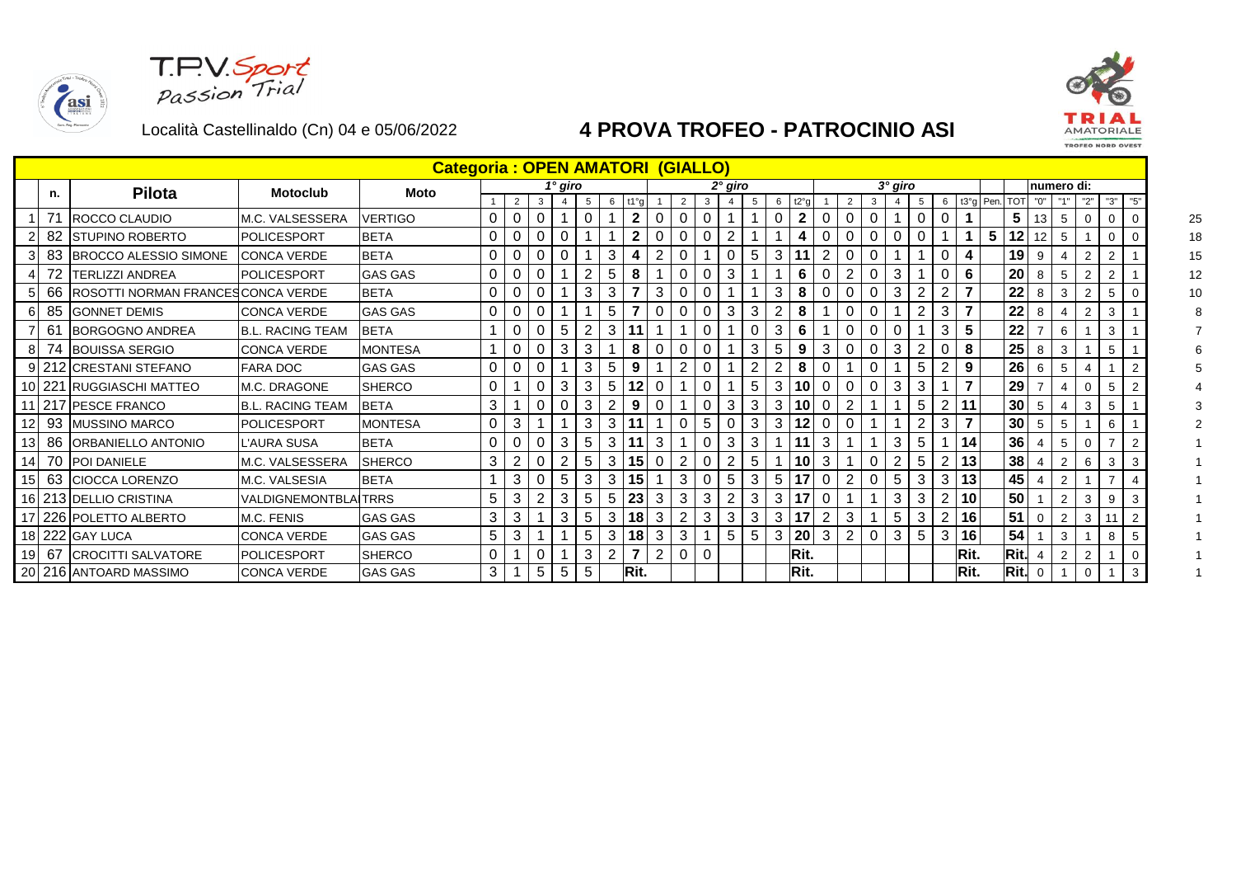**T.P.V.Sport**<br>Passion Trial

asi



|                 |        |                                   |                             | <b>Categoria: OPEN AMATORI (GIALLO)</b> |                |          |              |                |             |                |                          |                |                |          |                |   |   |                |                |                |             |              |                |                |      |           |                 |                |                |                |                |     |
|-----------------|--------|-----------------------------------|-----------------------------|-----------------------------------------|----------------|----------|--------------|----------------|-------------|----------------|--------------------------|----------------|----------------|----------|----------------|---|---|----------------|----------------|----------------|-------------|--------------|----------------|----------------|------|-----------|-----------------|----------------|----------------|----------------|----------------|-----|
|                 | n.     | <b>Pilota</b>                     | <b>Motoclub</b>             | <b>Moto</b>                             |                |          |              | 1° giro        |             |                |                          |                |                |          | $2°$ giro      |   |   |                |                |                |             | $3°$ giro    |                |                |      |           |                 |                | numero di:     |                |                |     |
|                 |        |                                   |                             |                                         |                | 2        | $\mathbf{3}$ | $\overline{4}$ | $5^{\circ}$ | 6.6            | t1°a                     |                | 2              | 3        |                | 5 | 6 | t2°q           |                | $\overline{2}$ | 3           |              | 5              | 6              |      | t3°g Pen. | TOT             | "0"            |                | "2"            | "3"            | "5" |
|                 | 71     | ROCCO CLAUDIO                     | M.C. VALSESSERA             | <b>VERTIGO</b>                          | $\mathbf{0}$   | 0        | 0            |                | $\mathbf 0$ |                | $\mathbf{2}$             | 0              | 0              |          |                |   | 0 | $\overline{2}$ | 0              | C              | $\mathbf 0$ |              | 0              | $\Omega$       |      |           | 5               | 13             | 5              | -0             | 0              | 0   |
|                 | 82     | <b>STUPINO ROBERTO</b>            | <b>POLICESPORT</b>          | <b>BETA</b>                             | $\mathbf{0}$   | 0        | 0            | 0              |             |                | $\mathbf{2}$             | 0              | 0              | 0        | $\overline{2}$ |   |   | 4              | 0              | C              | 0           | O            | 0              |                |      | 5         | 12              |                | 5              |                | $\mathbf 0$    |     |
| 3               |        | 83 BROCCO ALESSIO SIMONE          | ICONCA VERDE                | <b>BETA</b>                             | 0              | $\Omega$ | $\mathbf{0}$ | 0              |             | 3              |                          | 2              |                |          |                | 5 | 3 |                |                |                |             |              |                |                |      |           | 19              | 9              |                |                | $\overline{2}$ |     |
|                 | 72     | <b>TERLIZZI ANDREA</b>            | POLICESPORT                 | <b>GAS GAS</b>                          | 0              | 0        | 0            |                | 2           | 5              | 8                        |                | $\mathbf 0$    |          | 3              |   |   | 6              | C              | 2              | $\Omega$    | 3            |                | 0              | 6    |           | 20              | 8              | 5              |                | $\overline{2}$ |     |
|                 | 66     | ROSOTTI NORMAN FRANCESCONCA VERDE |                             | <b>BETA</b>                             | $\mathbf{0}$   | 0        | 0            |                | 3           | 3              |                          | 3              | 0              | 0        |                |   | 3 | 8              | 0              | C              | 0           | 3            | $\overline{2}$ | $\overline{2}$ |      |           | 22              | 8              | 3              | $\overline{2}$ | 5              |     |
| 61              |        | 85 GONNET DEMIS                   | <b>CONCA VERDE</b>          | <b>GAS GAS</b>                          | 0              | $\Omega$ | 0            |                |             | 5              |                          | 0              |                |          | 3              | 3 |   | 8              |                |                |             |              | $\overline{2}$ | 3              |      |           | 22              | 8              |                |                | 3              |     |
|                 | 61     | <b>BORGOGNO ANDREA</b>            | IB.L. RACING TEAM           | <b>BETA</b>                             |                | 0        | $\mathbf 0$  | 5              | $2^{\circ}$ | 3              |                          |                |                |          |                | 0 | 3 | 6              |                | C              | 0           | $\mathsf{C}$ |                | 3              | 5    |           | 22              |                | 6              |                | 3              |     |
| 8               | 74     | <b>BOUISSA SERGIO</b>             | <b>CONCA VERDE</b>          | <b>MONTESA</b>                          |                | 0        | 0            | 3              | 3           |                | 8                        | 0              | 0              |          |                | 3 | 5 | 9              | 3              | C              | 0           | 3            | 2              |                | 8    |           | 25              | 8              | 3              |                | 5              |     |
|                 |        | 212 CRESTANI STEFANO              | <b>FARA DOC</b>             | <b>GAS GAS</b>                          | 0              | $\Omega$ | 0            |                | 3           | 5              | 9                        |                | 2              |          |                | 2 |   | 8              |                |                | $\Omega$    |              | 5              | 2              | 9    |           | 26              | 6              | 5              |                |                |     |
|                 | 10 221 | <b>RUGGIASCHI MATTEO</b>          | <b>M.C. DRAGONE</b>         | <b>SHERCO</b>                           | 0              |          | $\mathbf 0$  | 3              | 3           | 5              | 12                       | 0              |                |          |                | 5 | 3 | 10             | 0              | C              | 0           | 3            | 3              |                |      |           | 29              |                |                |                | 5              |     |
|                 |        | 217 PESCE FRANCO                  | <b>B.L. RACING TEAM</b>     | <b>BETA</b>                             | 3              |          | 0            | 0              | 3           |                | 9                        | 0              |                |          | 3              | 3 | 3 | 10             | 0              |                |             |              | 5              | 2              | 11   |           | 30 <sup>°</sup> | 5              |                | 3              | 5              |     |
| 12              | -93    | <b>MUSSINO MARCO</b>              | POLICESPORT                 | <b>MONTESA</b>                          | $\mathbf{0}$   | 3        |              |                | 3           | 3              |                          |                | 0              | 5        | 0              | 3 | 3 | 12             | 0              |                |             |              | 2              | 3              |      |           | 30 <sup>°</sup> | 5              | 5              |                | 6              |     |
| 13 <sub>l</sub> | 86     | ORBANIELLO ANTONIO                | <b>L'AURA SUSA</b>          | <b>BETA</b>                             | $\mathbf{0}$   | $\Omega$ | 0            | 3              | 5           | 3              |                          | 3              |                |          | 3              | 3 |   |                | 3              |                |             | 3            | 5              |                | 14   |           | 36              |                | 5              |                |                |     |
|                 |        | 14 70 POI DANIELE                 | M.C. VALSESSERA             | <b>SHERCO</b>                           | 3              |          | 0            |                | 5           | 3              | 15                       | 0              |                |          |                | 5 |   | 10             | 3              |                | 0           |              | 5              | 2              | 13   |           | 38              |                |                | 6              | 3              | 3   |
| 15 <sub>l</sub> |        | 63 CIOCCA LORENZO                 | M.C. VALSESIA               | <b>BETA</b>                             |                | 3        | 0            | 5              | 3           | 3              | 15                       |                | 3              |          | 5              | 3 | 5 |                | 0              | $\overline{2}$ | 0           | 5            | 3              | 3              | 13   |           | 45              |                | $\overline{2}$ |                |                |     |
|                 |        | 16 213 DELLIO CRISTINA            | <b>VALDIGNEMONTBLAITRRS</b> |                                         | 5              | 3        | 2            | 3              | 5           | 5              | 23                       | 3              | 3              | 3        |                | 3 | 3 | 17             |                |                |             | 3            | 3              | 2              | 10   |           | 50              |                | $\overline{2}$ | 3              | 9              |     |
|                 |        | 17 226 POLETTO ALBERTO            | M.C. FENIS                  | <b>GAS GAS</b>                          | 3 <sup>1</sup> | 3        |              | 3              | 5           | 3              | 18                       | 3              | $\overline{2}$ | 3        | 3              | 3 | 3 |                | $\overline{2}$ | 3              |             | 5            | 3              | 2              | 16   |           | 51              | $\overline{0}$ | 2              | 3              |                |     |
|                 |        | 18 222 GAY LUCA                   | <b>CONCA VERDE</b>          | <b>GAS GAS</b>                          | 5              | 3        |              |                | 5           | 3              | 18                       | 3              | 3              |          | 5              | 5 | 3 | 20             | 3              | $\overline{2}$ | $\mathbf 0$ | 3            | 5              | 3              | 16   |           | 54              |                | 3              |                | 8              |     |
| 19              |        | 67 CROCITTI SALVATORE             | POLICESPORT                 | <b>SHERCO</b>                           | 0              |          | 0            |                | 3           | $\overline{2}$ | $\overline{\phantom{a}}$ | $\overline{2}$ | $\Omega$       | $\Omega$ |                |   |   | Rit.           |                |                |             |              |                |                | Rit. |           | Rit.            |                | $\overline{2}$ | -2             |                |     |
|                 |        | 20 216 ANTOARD MASSIMO            | <b>CONCA VERDE</b>          | <b>GAS GAS</b>                          | 3              |          | 5            | 5              | 5           |                | Rit.                     |                |                |          |                |   |   | Rit.           |                |                |             |              |                |                | Rit. |           | Rit.            | $\mathbf 0$    |                | 0              |                |     |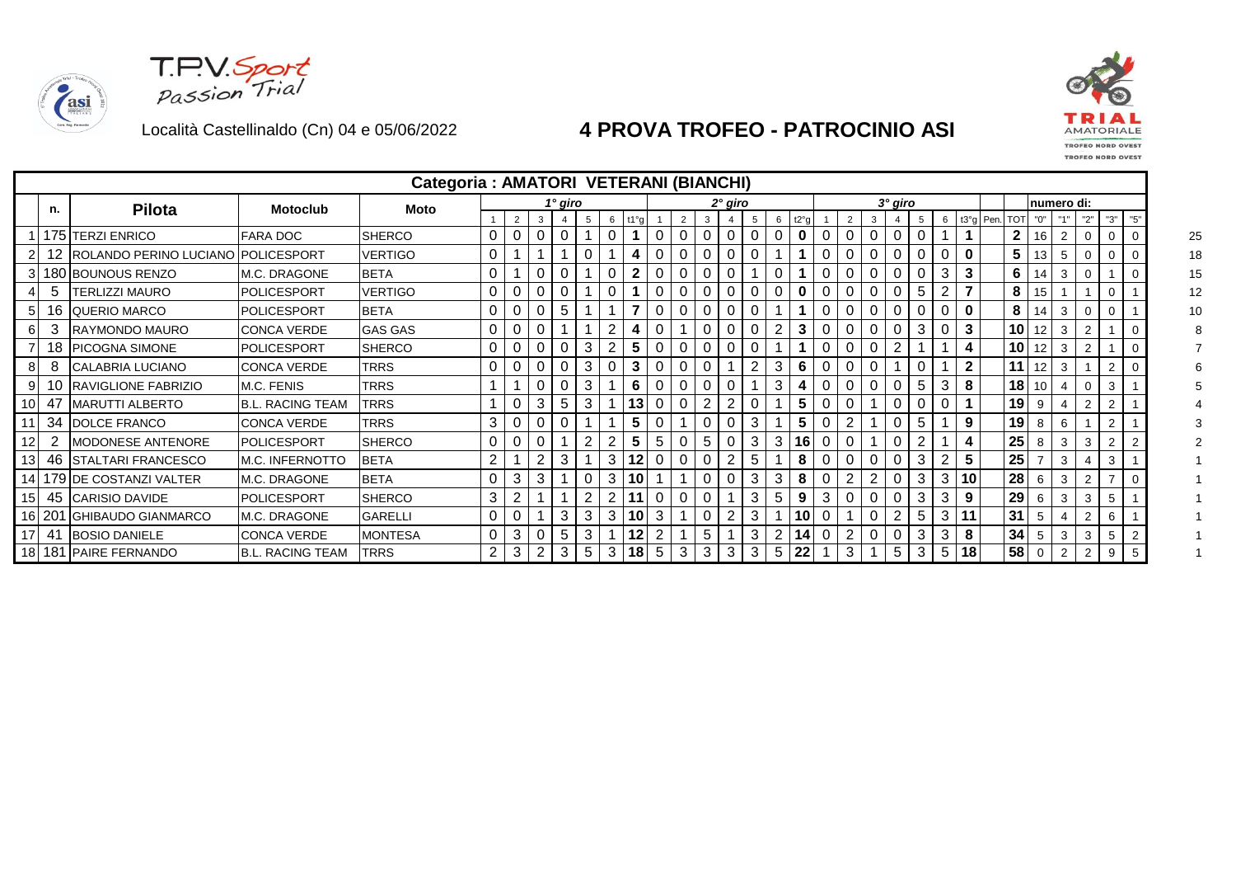asi





|                 |        |                                       |                         | Categoria : AMATORI VETERANI (BIANCHI) |   |          |                |         |   |   |                 |          |   |   |           |   |   |      |   |  |          |    |          |             |               |                 |             |                |                |                |     |
|-----------------|--------|---------------------------------------|-------------------------|----------------------------------------|---|----------|----------------|---------|---|---|-----------------|----------|---|---|-----------|---|---|------|---|--|----------|----|----------|-------------|---------------|-----------------|-------------|----------------|----------------|----------------|-----|
|                 | n.     | <b>Pilota</b>                         | <b>Motoclub</b>         | Moto                                   |   |          |                | 1° giro |   |   |                 |          |   |   | $2°$ giro |   |   |      |   |  | 3° giro  |    |          |             |               |                 |             | numero di:     |                |                |     |
|                 |        |                                       |                         |                                        |   | 2        |                |         |   | 6 | t1°q            |          |   |   |           |   | 6 | t2°g |   |  |          | -5 | 6        |             | t3°g Pen. TOT |                 | "0"         |                | "2"            | "3"            | "5" |
|                 |        | 175 TERZI ENRICO                      | FARA DOC                | <b>SHERCO</b>                          |   |          |                |         |   |   |                 |          |   |   |           |   | 0 | 0    |   |  |          |    |          |             |               | $\mathbf{2}$    | 16          | 2              |                | 0              |     |
|                 |        | 12 ROLANDO PERINO LUCIANO POLICESPORT |                         | <b>VERTIGO</b>                         | 0 |          |                |         |   |   |                 |          |   |   |           |   |   |      |   |  |          |    |          | 0           |               | 5               | 13          | 5              |                |                |     |
|                 |        | 3 180 BOUNOUS RENZO                   | M.C. DRAGONE            | <b>BETA</b>                            | 0 |          |                |         |   |   |                 | 0        |   |   |           |   |   |      |   |  |          |    | 3        | 3           |               | 6               | 14          | 3              |                |                |     |
|                 | 5      | <b>TERLIZZI MAURO</b>                 | <b>POLICESPORT</b>      | VERTIGO                                |   |          |                |         |   |   |                 |          |   |   |           |   | 0 | 0    |   |  |          | 5  |          |             |               | 8               | 15          |                |                | 0              |     |
| 5 <sup>1</sup>  |        | 16 QUERIO MARCO                       | <b>POLICESPORT</b>      | <b>BETA</b>                            | 0 | 0        |                | 5       |   |   |                 | $\Omega$ |   |   |           |   |   |      |   |  | $\Omega$ |    | $\Omega$ | $\mathbf 0$ |               | 8               | 14          | 3              |                |                |     |
| 61              |        | RAYMONDO MAURO                        | <b>CONCA VERDE</b>      | <b>GAS GAS</b>                         | 0 | 0        |                |         |   |   | 4               | 0        |   |   |           |   |   | 3    |   |  |          | 3  | $\Omega$ | 3           |               | 10 <sup>1</sup> | 12          | 3              |                |                |     |
|                 | 18     | <b>PICOGNA SIMONE</b>                 | <b>POLICESPORT</b>      | <b>SHERCO</b>                          | 0 |          |                |         | 3 |   | 5               | 0        |   | 0 |           |   |   |      |   |  |          |    |          |             |               | 10 <sup>1</sup> | 12          | 3              | $\overline{2}$ |                |     |
| 81              |        | CALABRIA LUCIANO                      | <b>CONCA VERDE</b>      | <b>TRRS</b>                            |   |          |                |         |   |   |                 |          |   |   |           |   | 3 | 6    |   |  |          |    |          |             |               | 11              | 12          | 3              |                | $\overline{2}$ |     |
|                 | 10     | <b>RAVIGLIONE FABRIZIO</b>            | M.C. FENIS              | <b>TRRS</b>                            |   |          |                |         |   |   | 6               |          |   |   |           |   | 3 |      |   |  |          | 5  | 3        | 8           |               | 18              | 10          |                |                | 3              |     |
| 10              | 47     | <b>MARUTTI ALBERTO</b>                | <b>B.L. RACING TEAM</b> | <b>TRRS</b>                            |   | 0        | 3              | 5       | 3 |   | 13              | 0        |   |   |           |   |   | 5    |   |  |          |    | $\Omega$ |             |               | 19 <sub>1</sub> | 9           |                | $\overline{2}$ | $\overline{2}$ |     |
|                 | 34     | DOLCE FRANCO                          | <b>CONCA VERDE</b>      | <b>TRRS</b>                            | 3 |          |                |         |   |   | 5               |          |   |   |           |   |   | 5    |   |  |          | 5  |          | 9           |               | 19              | 8           | 6              |                | $\overline{2}$ |     |
| 12              |        | MODONESE ANTENORE                     | <b>POLICESPORT</b>      | <b>SHERCO</b>                          | 0 |          |                |         |   |   | 5               | 5        |   | 5 |           | 3 | 3 | 16   | 0 |  |          |    |          |             |               | 25              | 8           | 3              | 3              | $\overline{2}$ |     |
| 13 <sub>l</sub> |        | 46 STALTARI FRANCESCO                 | <b>M.C. INFERNOTTO</b>  | <b>BETA</b>                            |   |          |                | 3       |   | 3 | $12 \,$         |          |   |   |           | 5 |   | 8    |   |  |          | 3  | 2        | 5           |               | 25              |             | 3              |                | 3              |     |
|                 |        | 14   179 IDE COSTANZI VALTER          | IM.C. DRAGONE           | <b>BETA</b>                            |   | 3        |                |         |   | 3 | 10 <sup>1</sup> |          |   |   |           |   | 3 | 8    |   |  |          | 3  | 3        | 10          |               | 28              | 6           | 3              | $\overline{2}$ |                |     |
|                 | 45     | CARISIO DAVIDE                        | POLICESPORT             | <b>SHERCO</b>                          | 3 |          |                |         |   |   | 11              |          |   |   |           |   | 5 | 9    | 3 |  |          | 3  | 3        | 9           |               | 29              | 6           | 3              | 3              | 5              |     |
|                 | 16 201 | GHIBAUDO GIANMARCO                    | M.C. DRAGONE            | <b>GARELLI</b>                         | 0 | $\Omega$ |                | 3       | 3 | 3 | 10 <sup>1</sup> | 3        |   |   |           | 3 |   | 10   |   |  |          | 5  | 3        | 11          |               | 31              | 5           |                | $\overline{2}$ | 6              |     |
|                 | 41     | <b>BOSIO DANIELE</b>                  | <b>CONCA VERDE</b>      | <b>MONTESA</b>                         | 0 | 3        |                | 5       | 3 |   | 12              | 2        |   | 5 |           | 3 | 2 | 14   |   |  | $\Omega$ | 3  | 3        | 8           |               | 34              | 5           | 3              | 3              | 5              |     |
|                 |        | 18 181 PAIRE FERNANDO                 | <b>B.L. RACING TEAM</b> | <b>TRRS</b>                            |   | 3        | $\overline{2}$ | 3       | 5 | 3 | 18              | 5        | 3 | 3 | 3         | 3 | 5 | 22   |   |  |          | 3  | 5        | 18          |               | 58              | $\mathbf 0$ | $\overline{2}$ | 2              | 9              |     |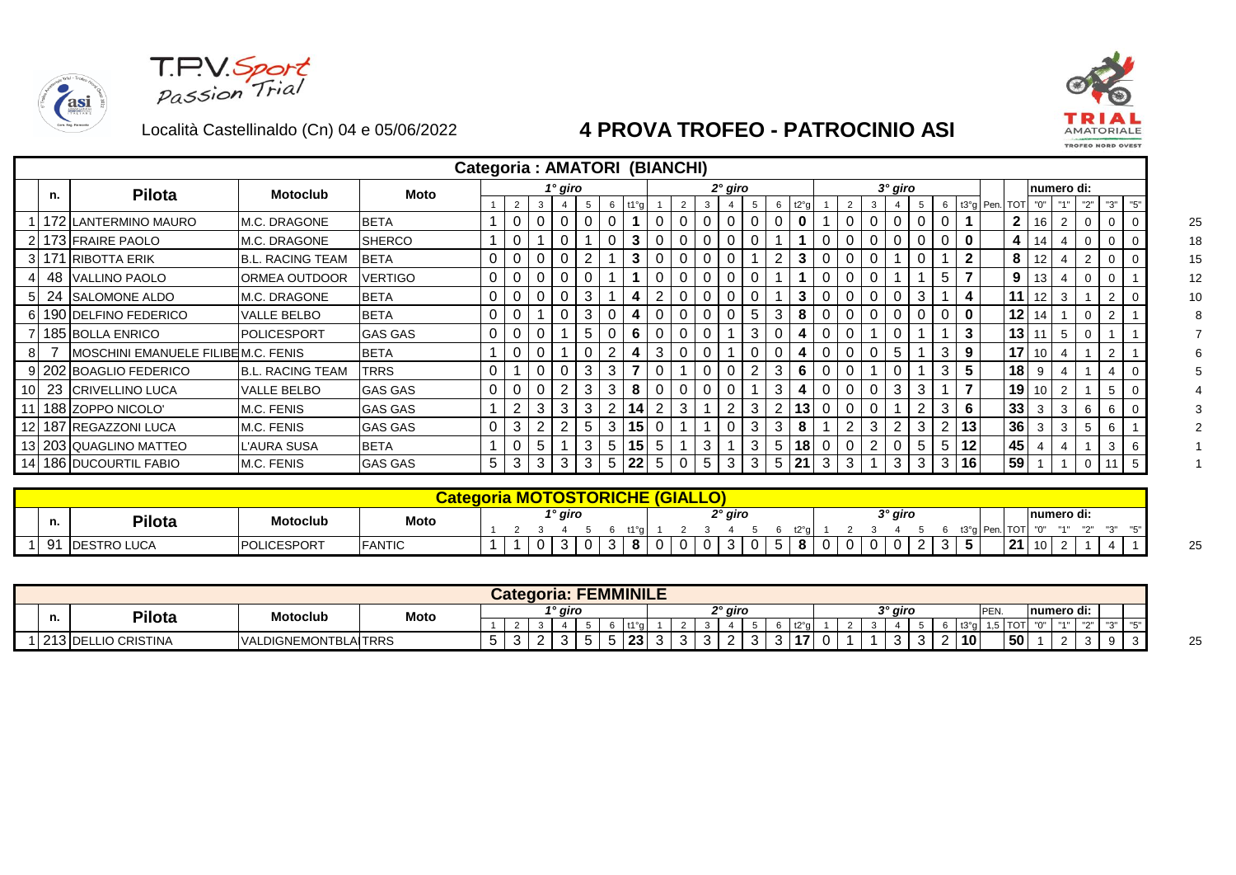asi





|    |    |                                    |                          | Categoria: AMATORI (BIANCHI) |   |                |          |             |        |    |      |        |   |   |           |    |                |     |   |   |                |           |   |   |              |           |                 |     |                |                |                |    |    |
|----|----|------------------------------------|--------------------------|------------------------------|---|----------------|----------|-------------|--------|----|------|--------|---|---|-----------|----|----------------|-----|---|---|----------------|-----------|---|---|--------------|-----------|-----------------|-----|----------------|----------------|----------------|----|----|
|    | n. | <b>Pilota</b>                      | <b>Motoclub</b>          | Moto                         |   |                |          | 1° giro     |        |    |      |        |   |   | $2°$ giro |    |                |     |   |   |                | $3°$ giro |   |   |              |           |                 |     | numero di:     |                |                |    |    |
|    |    |                                    |                          |                              |   | $\overline{2}$ | 3        |             |        | -6 | t1°a |        |   |   |           | -5 | 6              | t2° |   |   |                |           |   | 6 |              | t3°g Pen. | <b>TOT</b>      | "0" |                | "2"            | "3"            |    |    |
|    |    | 1   172   LANTERMINO MAURO         | M.C. DRAGONE             | <b>BETA</b>                  |   | 0              | 0        |             |        |    |      |        |   |   |           |    | 0              | 0   |   |   |                |           |   |   |              |           | $\overline{2}$  | 16  | $\overline{2}$ | $\mathbf 0$    | 0              |    | 25 |
|    |    | 2 173 FRAIRE PAOLO                 | <b>M.C. DRAGONE</b>      | <b>SHERCO</b>                |   |                |          |             |        |    |      |        |   |   |           |    |                |     |   |   |                |           |   |   | 0            |           | 4               |     |                | $\Omega$       | 0              |    | 18 |
|    |    | 3 171 RIBOTTA ERIK                 | <b>B.L. RACING TEAM</b>  | <b>BETA</b>                  | 0 |                |          |             | $\sim$ |    |      |        |   |   |           |    | 2              |     |   |   |                |           |   |   |              |           | 8               |     |                | $\overline{2}$ |                |    | 15 |
|    |    | 48 VALLINO PAOLO                   | ORMEA OUTDOOR            | <b>VERTIGO</b>               | 0 |                |          |             |        |    |      |        |   |   |           |    |                |     |   |   |                |           |   |   |              |           | 9               | 13  |                |                | 0              |    | 12 |
| 51 |    | 24 SALOMONE ALDO                   | M.C. DRAGONE             | <b>BETA</b>                  | 0 | U              | 0        | 0           | 3      |    | 4    |        | υ |   |           |    |                | 3   |   |   |                |           | 3 |   | 4            |           | 11              | 12  | 3              |                | 2              |    | 10 |
|    |    | 6 190 DELFINO FEDERICO             | VALLE BELBO              | <b>BETA</b>                  | 0 |                |          | $\mathbf 0$ | 3      |    | 4    |        |   |   |           | 5  | 3              | 8   |   |   |                |           |   |   | $\mathbf{0}$ |           | 12              | 14  |                |                | 2              |    |    |
|    |    | 7 185 BOLLA ENRICO                 | <b>POLICESPORT</b>       | <b>GAS GAS</b>               | 0 |                |          |             | 5      |    | 6    |        |   |   |           | 3  |                |     |   |   |                |           |   |   | 3            |           | 13              |     |                |                |                |    |    |
| 81 |    | MOSCHINI EMANUELE FILIBEM.C. FENIS |                          | <b>BETA</b>                  |   | U              |          |             |        |    |      | 3      |   |   |           |    |                |     |   |   |                |           |   | 3 | 9            |           | 17              | 10  |                |                | $\overline{2}$ |    |    |
|    |    | 9 202 BOAGLIO FEDERICO             | <b>IB.L. RACING TEAM</b> | <b>TRRS</b>                  | 0 |                | 0        |             | 3      | 3  |      |        |   |   |           |    | 3              | 6   |   |   |                |           |   | 3 |              |           | 18              | -9  |                |                |                |    |    |
|    |    | 10 23 CRIVELLINO LUCA              | <b>VALLE BELBO</b>       | <b>GAS GAS</b>               | 0 |                | 0        | 2           | 3      | 3  | 8    | 0      |   |   |           |    | 3              | 4   |   |   |                | 3         | 3 |   |              |           | 19 <sup>°</sup> | 10  |                |                | 5              |    |    |
|    |    | 11 188 ZOPPO NICOLO'               | M.C. FENIS               | <b>GAS GAS</b>               |   | 2              | 3        | 3           | 3      |    |      | $\sim$ | 3 |   | ົ         | 3  | $\overline{2}$ | 13  |   |   |                |           |   | 3 | 6            |           | 33              | 3   | 3              | 6              | 6              |    |    |
|    |    | 12 187 REGAZZONI LUCA              | M.C. FENIS               | <b>GAS GAS</b>               | 0 | 3              | $\Omega$ | $\sqrt{2}$  | 5      | 3  | 15   |        |   |   |           | 3  | 3              | 8   |   | 2 | 3              | 2         | 3 |   | 13           |           | 36              | 3   |                |                | 6              |    |    |
|    |    | 13 203 QUAGLINO MATTEO             | L'AURA SUSA              | <b>BETA</b>                  |   | 0              | 5        |             | 3      | 5  | 15   | 5      |   | 3 |           | 3  | 5              | 18  | U |   | $\overline{2}$ |           | 5 | 5 | 12           |           | 45              |     |                |                | 3              | -6 |    |
|    |    | 14 186 DUCOURTIL FABIO             | M.C. FENIS               | <b>GAS GAS</b>               | 5 | 3              | 3        | 3           | 3      | 5  | 22   | 5      |   | 5 | 3         | 3  | 5              | 21  | 3 | 3 |                | 3         | 3 | 3 | 16           |           | 59              |     |                | 0              |                |    |    |

|             |                     |                         |               |  |         | <b>ORICHE</b> |     | <b>GIAL</b> |  |         |  |  |  |  |         |  |           |              |                              |                        |            |                              |  |
|-------------|---------------------|-------------------------|---------------|--|---------|---------------|-----|-------------|--|---------|--|--|--|--|---------|--|-----------|--------------|------------------------------|------------------------|------------|------------------------------|--|
| и.          | <b>Pilota</b>       | Motoclub                | Moto          |  | 1° giro |               | 440 |             |  | 2° giro |  |  |  |  | २° giro |  | t3°g Per. | ⊤^'          | $\mathbf{H} \cap \mathbf{H}$ | Inumero di:<br>11.4.11 | $n \sim n$ | $\mathbf{H} \cap \mathbf{H}$ |  |
| $\sim$<br>ີ | <b>IDESTRO LUCA</b> | <b>LICESPORT</b><br>מםו | <b>FANTIC</b> |  | ີ       |               |     |             |  |         |  |  |  |  |         |  |           | -94<br>. e . | 10                           |                        |            |                              |  |

|      |                     |                             |      |   |   | Categoria: |                     |    |     | <b>FEMMINILE</b> |   |    |   |         |     |   |     |    |  |                    |   |                 |      |                 |        |            |          |            |  |
|------|---------------------|-----------------------------|------|---|---|------------|---------------------|----|-----|------------------|---|----|---|---------|-----|---|-----|----|--|--------------------|---|-----------------|------|-----------------|--------|------------|----------|------------|--|
| n.   | Pilota              | <b>Motoclub</b>             | Moto |   |   |            | <sup>1</sup> ° giro |    |     |                  |   |    |   | 2° giro |     |   |     |    |  | <sup>२°</sup> giro |   |                 | PEN. |                 |        | numero di: |          |            |  |
|      |                     |                             |      |   |   |            |                     |    |     | 440.             |   |    |   |         |     |   |     |    |  |                    |   |                 |      | $ \sim$         | $\sim$ | 11.411     | $\cdots$ | <b>HAH</b> |  |
| 1212 | 213 DELLIO CRISTINA | <b>VALDIGNEMONTBLAITRRS</b> |      | ັ | ີ | <u>.</u>   | ີ                   | ັບ | . . | 23               | ັ | ັບ | ີ | _       | . . | ື | -45 | ., |  | . .                | ີ | 10 <sup>1</sup> |      | 50 <sup>°</sup> |        |            |          |            |  |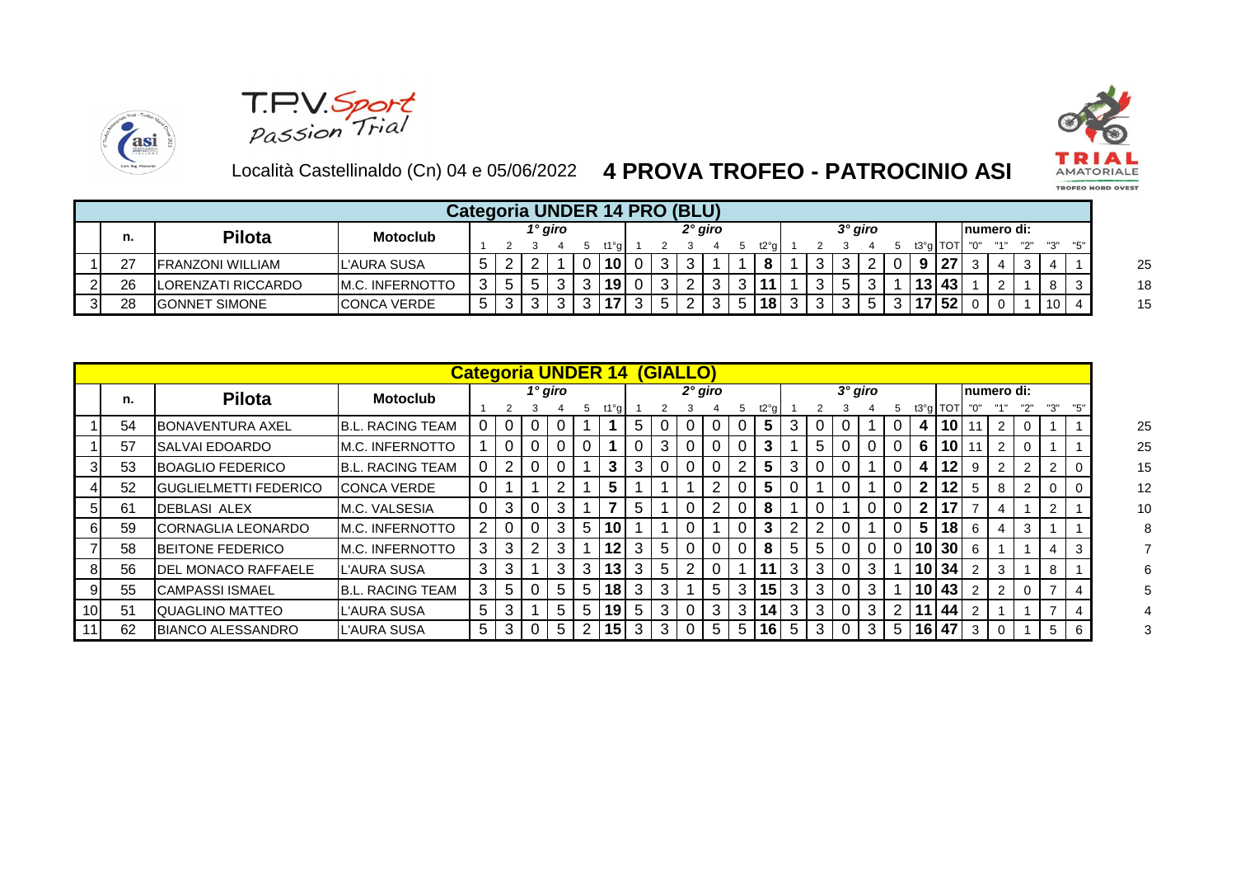





|            |                            |                         |   |         | Categoria UNDER 14 PRO (BLU) |   |          |         |  |                 |  |         |  |              |             |  |          |
|------------|----------------------------|-------------------------|---|---------|------------------------------|---|----------|---------|--|-----------------|--|---------|--|--------------|-------------|--|----------|
| n.         | <b>Pilota</b>              | <b>Motoclub</b>         |   | 1° giro |                              |   |          | 2° giro |  |                 |  | 3° giro |  |              | Inumero di: |  |          |
|            |                            |                         |   |         | +1°a I                       |   |          |         |  | t2°a            |  |         |  | t3°a TOT     |             |  |          |
| つつ<br>ا ہے | <b>IFRANZONI WILLIAM</b>   | <b>IL'AURA SUSA</b>     | ົ |         | 10                           | 0 | $\sim$ 1 |         |  | $\bullet$<br>О  |  |         |  | 27           |             |  |          |
| 26         | <b>ILORENZATI RICCARDO</b> | <b>IM.C. INFERNOTTO</b> | 5 |         | <sup>19</sup>                | 0 |          |         |  |                 |  |         |  | $13 \mid 43$ |             |  | -3       |
| 28         | <b>IGONNET SIMONE</b>      | <b>ICONCA VERDE</b>     | 2 |         | -47                          | 3 |          |         |  | 18 <sup>1</sup> |  |         |  | 17 52        |             |  | $10$   4 |

|    |                               |                         |   |                |                |         |                 | <b>Categoria UNDER 14</b> |   | (GIALLO)       |           |   |   |      |                |                |           |   |                |              |          |   |             |   |                |    |
|----|-------------------------------|-------------------------|---|----------------|----------------|---------|-----------------|---------------------------|---|----------------|-----------|---|---|------|----------------|----------------|-----------|---|----------------|--------------|----------|---|-------------|---|----------------|----|
| n. | <b>Pilota</b>                 | <b>Motoclub</b>         |   |                |                | 1° giro |                 |                           |   |                | $2°$ giro |   |   |      |                |                | $3°$ giro |   |                |              |          |   | Inumero di: |   |                |    |
|    |                               |                         |   |                |                |         | 5               | t1°g                      |   |                |           |   |   | t2°g |                |                |           |   | 5.             |              | t3°g TOT |   |             |   |                |    |
| 54 | <b>BONAVENTURA AXEL</b>       | <b>B.L. RACING TEAM</b> |   | 0              |                |         |                 |                           | 5 |                |           |   |   | 5    | 3              |                |           |   | 0              |              | 4 10     |   | 2           | 0 |                |    |
| 57 | <b>ISALVAI EDOARDO</b>        | <b>M.C. INFERNOTTO</b>  |   | 0              |                |         |                 |                           | 0 | 3 <sup>1</sup> |           |   |   | 3    |                | 5              |           |   | 0              |              | 6 10     |   | 2           | 0 |                |    |
| 53 | BOAGLIO FEDERICO              | <b>B.L. RACING TEAM</b> |   | $\overline{2}$ |                |         |                 | 3                         | 3 |                |           |   | 2 | 5    | 3              |                |           |   | 0              | 4            | 12       | 9 | 2           | 2 | 2              | 0  |
| 52 | <b>IGUGLIELMETTI FEDERICO</b> | <b>ICONCA VERDE</b>     | 0 |                |                | っ       |                 | 5                         |   |                |           | 2 |   | 5    |                |                |           |   | 0              |              | 2 12     | 5 | 8           | 2 |                | -0 |
| 61 | <b>IDEBLASI ALEX</b>          | <b>M.C. VALSESIA</b>    | 0 | 3              |                | 3       |                 |                           | 5 |                |           | 2 |   | 8    |                |                |           |   | $\Omega$       | $\mathbf{2}$ | 17       |   | 4           |   | 2              |    |
| 59 | <b>ICORNAGLIA LEONARDO</b>    | <b>M.C. INFERNOTTO</b>  | 2 | 0              |                | 3       | 5               | 10                        |   |                |           |   |   | 3    | 2 <sub>1</sub> | $\overline{2}$ |           |   | 0              |              | 5 18     | 6 |             | 3 |                |    |
| 58 | <b>IBEITONE FEDERICO</b>      | <b>M.C. INFERNOTTO</b>  | 3 | 3              | 2 <sub>1</sub> | 3       |                 | 12                        | 3 | 5 <sup>1</sup> |           |   |   | 8    | 5 <sup>1</sup> | 5              |           |   | $\Omega$       |              | 10 30    | 6 |             |   | 4              | -3 |
| 56 | <b>IDEL MONACO RAFFAELE</b>   | L'AURA SUSA             | 3 | 3              |                | 3       | 3               | 13                        | 3 | 5 <sup>1</sup> | 2         |   |   | 11   | 3 <sup>1</sup> | -3             |           | 3 |                |              | 10 34    |   | 3           |   | 8              |    |
| 55 | <b>CAMPASSI ISMAEL</b>        | <b>B.L. RACING TEAM</b> | 3 | 5 <sup>5</sup> | $\mathbf{0}$   | 5       | $5\phantom{.0}$ | 18 <sub>1</sub>           | 3 | 3 <sup>1</sup> |           | 5 | 3 | 15   | 3 <sup>1</sup> | $\mathbf{3}$   | 0         | 3 |                |              | 10 43    |   | 2           | 0 |                | 4  |
| 51 | QUAGLINO MATTEO               | L'AURA SUSA             | 5 | 3              |                | 5       | 5               | 19                        | 5 | 3 <sup>1</sup> |           | 3 | 3 | 14   | 3 <sup>1</sup> | -3             |           | 3 | 2 <sup>1</sup> |              | 11 44    |   |             |   |                | 4  |
| 62 | <b>IBIANCO ALESSANDRO</b>     | <b>IL'AURA SUSA</b>     | 5 | 3              |                | 5       |                 | 15                        | 3 | 3 <sup>1</sup> |           | 5 | 5 | 16   | 5 <sub>1</sub> | -3             |           | 3 | 5 <sup>1</sup> |              | 16 47    | 3 |             |   | 5 <sup>1</sup> | -6 |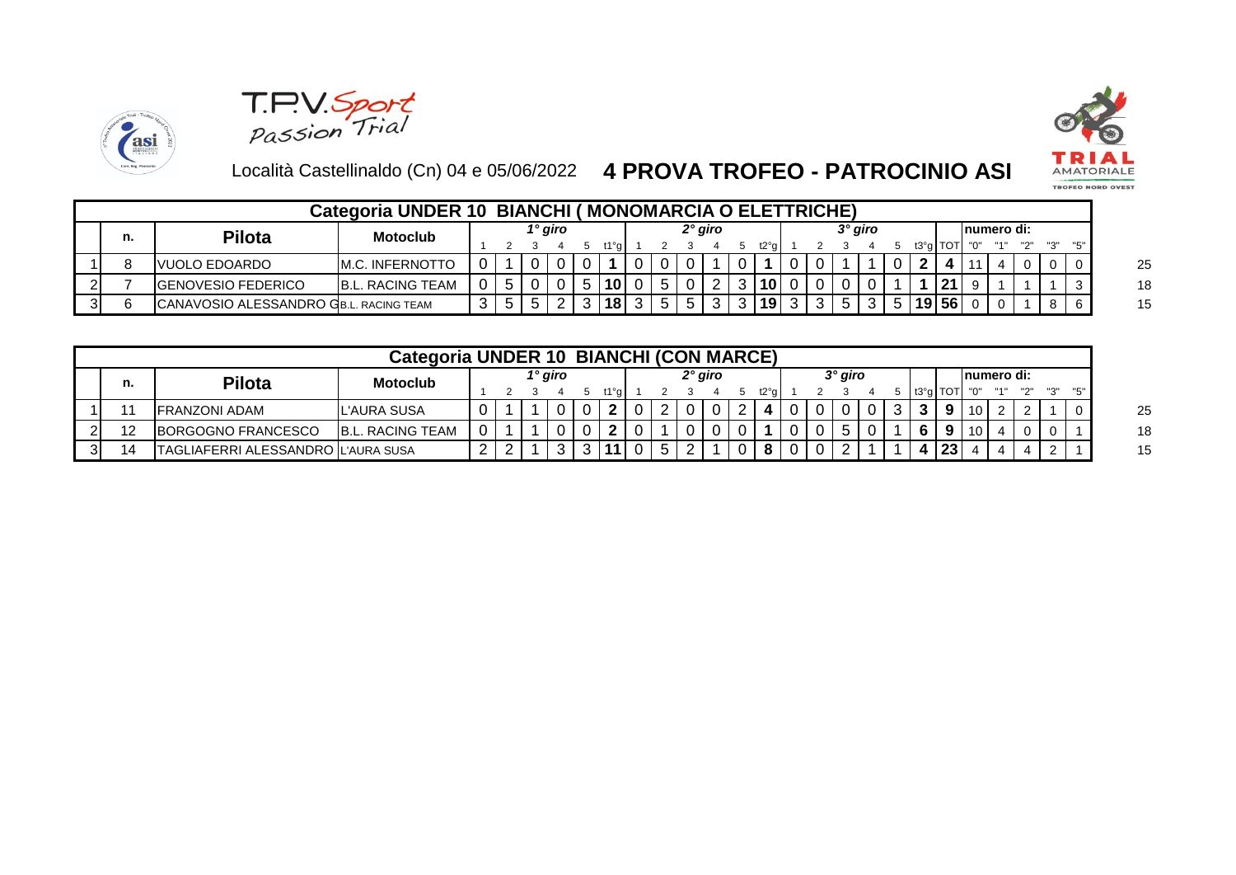



asi

|    |                                        | Categoria UNDER 10 BIANCHI ( |                |         |        |  |           |  | (MONOMARCIA O ELETTRICHE) |  |                |  |            |             |  |                  |
|----|----------------------------------------|------------------------------|----------------|---------|--------|--|-----------|--|---------------------------|--|----------------|--|------------|-------------|--|------------------|
| n. | Pilota                                 | <b>Motoclub</b>              |                | 1° giro |        |  | $2°$ giro |  |                           |  | $3^\circ$ giro |  |            | Inumero di: |  |                  |
|    |                                        |                              |                |         | t1°a l |  |           |  | t2°a l                    |  |                |  | $t3°q$ TOT |             |  |                  |
|    | IVUOLO EDOARDO                         | <b>IM.C. INFERNOTTO</b>      |                |         |        |  |           |  |                           |  |                |  |            |             |  | $\overline{1}$ 0 |
|    | <b>IGENOVESIO FEDERICO</b>             | <b>B.L. RACING TEAM</b>      | 5 <sup>5</sup> |         | 10     |  |           |  | 10 <sup>1</sup>           |  |                |  | 21         |             |  |                  |
|    | CANAVOSIO ALESSANDRO GB.L. RACING TEAM |                              | 5.             |         | 18     |  |           |  | 19                        |  |                |  | 19 56      |             |  | -6               |

|    |                                    | Categoria UNDER 10 BIANCHI (CON MARCE) |  |         |        |  |         |  |        |  |           |  |            |                 |  |    |
|----|------------------------------------|----------------------------------------|--|---------|--------|--|---------|--|--------|--|-----------|--|------------|-----------------|--|----|
| n. | Pilota                             | <b>Motoclub</b>                        |  | 1° giro |        |  | 2° giro |  |        |  | $3°$ giro |  |            | Inumero di:     |  |    |
|    |                                    |                                        |  |         | t1°a l |  |         |  | t2°a l |  |           |  | 5 t3°a TOT |                 |  |    |
|    | FRANZONI ADAM                      | L'AURA SUSA                            |  |         |        |  |         |  |        |  |           |  |            | 10.             |  | -0 |
| 12 | <b>IBORGOGNO FRANCESCO</b>         | <b>B.L. RACING TEAM</b>                |  |         |        |  |         |  |        |  |           |  | 9          | 10 <sup>1</sup> |  |    |
| 14 | TAGLIAFERRI ALESSANDRO L'AURA SUSA |                                        |  |         |        |  |         |  | o      |  |           |  | 23         |                 |  |    |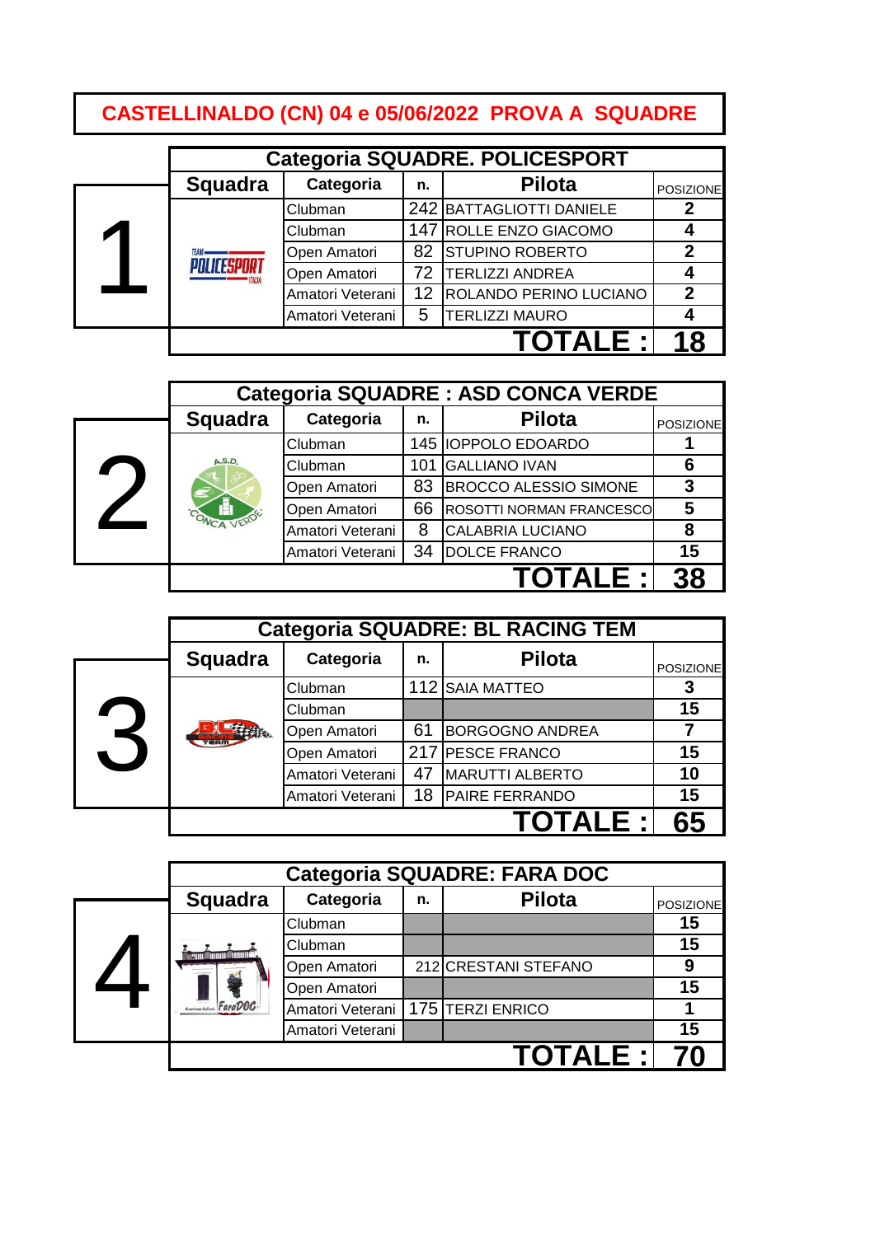# **CASTELLINALDO (CN) 04 e 05/06/2022 PROVA A SQUADRE**

|                |                  |    | <b>Categoria SQUADRE. POLICESPORT</b> |                  |
|----------------|------------------|----|---------------------------------------|------------------|
| <b>Squadra</b> | Categoria        | n. | <b>Pilota</b>                         | <b>POSIZIONE</b> |
|                | Clubman          |    | 242 BATTAGLIOTTI DANIELE              |                  |
|                | Clubman          |    | 147 ROLLE ENZO GIACOMO                |                  |
| <b>TFAM.</b>   | Open Amatori     |    | 82 STUPINO ROBERTO                    | $\mathbf 2$      |
| PNI ICESPNAT   | Open Amatori     | 72 | <b>TERLIZZI ANDREA</b>                |                  |
|                | Amatori Veterani | 12 | ROLANDO PERINO LUCIANO                | $\overline{2}$   |
|                | Amatori Veterani | 5  | <b>TERLIZZI MAURO</b>                 |                  |
|                |                  |    | ITAI F ·I                             |                  |

|                |                  |     | <b>Categoria SQUADRE: ASD CONCA VERDE</b> |                  |
|----------------|------------------|-----|-------------------------------------------|------------------|
| <b>Squadra</b> | Categoria        | n.  | <b>Pilota</b>                             | <b>POSIZIONE</b> |
|                | Clubman          |     | 145 IOPPOLO EDOARDO                       |                  |
| A.S.D.         | Clubman          | 101 | <b>GALLIANO IVAN</b>                      | 6                |
|                | Open Amatori     | 83  | <b>BROCCO ALESSIO SIMONE</b>              | 3                |
|                | Open Amatori     | 66  | <b>ROSOTTI NORMAN FRANCESCO</b>           | 5                |
|                | Amatori Veterani | 8   | <b>CALABRIA LUCIANO</b>                   | 8                |
|                | Amatori Veterani | 34  | <b>DOLCE FRANCO</b>                       | 15               |
|                |                  |     | <b>OTALE :</b>                            | 28               |

|   |         |                  |    | <b>Categoria SQUADRE: BL RACING TEM</b> |                  |
|---|---------|------------------|----|-----------------------------------------|------------------|
|   | Squadra | Categoria        | n. | <b>Pilota</b>                           | <b>POSIZIONE</b> |
|   |         | Clubman          |    | 112 SAIA MATTEO                         |                  |
|   |         | Clubman          |    |                                         | 15               |
| 3 |         | Open Amatori     | 61 | <b>BORGOGNO ANDREA</b>                  |                  |
|   |         | Open Amatori     |    | 217 PESCE FRANCO                        | 15               |
|   |         | Amatori Veterani | 47 | <b>MARUTTI ALBERTO</b>                  | 10               |
|   |         | Amatori Veterani | 18 | <b>PAIRE FERRANDO</b>                   | 15               |
|   |         |                  |    | TALE :'                                 |                  |

|                |                                     |    | <b>Categoria SQUADRE: FARA DOC</b> |                  |
|----------------|-------------------------------------|----|------------------------------------|------------------|
| <b>Squadra</b> | Categoria                           | n. | <b>Pilota</b>                      | <b>POSIZIONE</b> |
|                | Clubman                             |    |                                    | 15               |
| n Countern     | Clubman                             |    |                                    | 15               |
|                | Open Amatori                        |    | 212 CRESTANI STEFANO               | 9                |
|                | Open Amatori                        |    |                                    | 15               |
| FaraDOC        | Amatori Veterani   175 TERZI ENRICO |    |                                    |                  |
|                | Amatori Veterani                    |    |                                    | 15               |
|                |                                     |    | <b>TOTALE :</b> I                  |                  |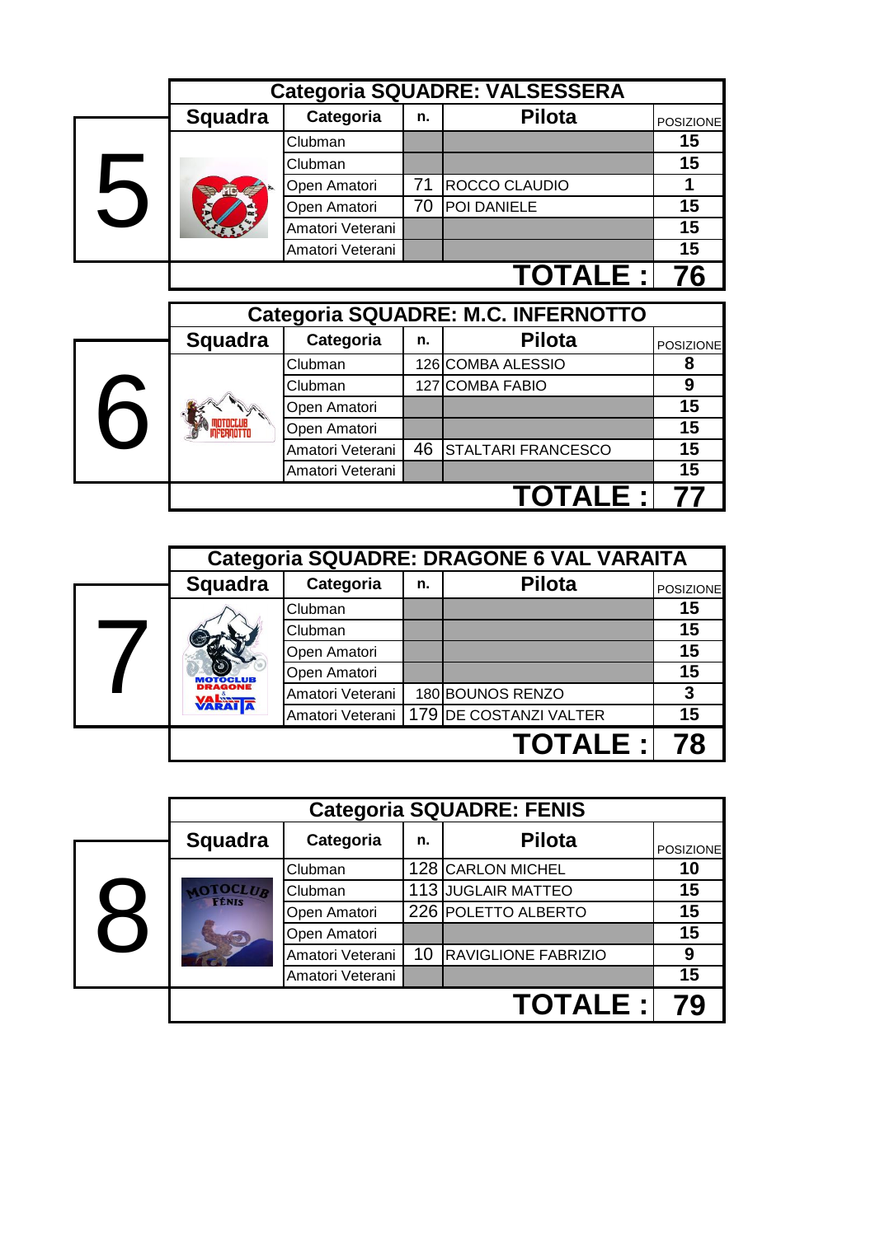|   |                |                  |    | <b>Categoria SQUADRE: VALSESSERA</b> |                       |
|---|----------------|------------------|----|--------------------------------------|-----------------------|
|   | <b>Squadra</b> | Categoria        | n. | Pilota                               | <b>POSIZIONE</b>      |
|   |                | Clubman          |    |                                      | 15                    |
|   |                | Clubman          |    |                                      | 15                    |
|   |                | Open Amatori     | 71 | ROCCO CLAUDIO                        | 1                     |
| 5 |                | Open Amatori     | 70 | POI DANIELE                          | 15                    |
|   |                | Amatori Veterani |    |                                      | 15                    |
|   |                | Amatori Veterani |    |                                      | 15                    |
|   |                |                  |    | <b>TOTALE :</b>                      | 76                    |
|   |                |                  |    | Categoria SQUADRE: M.C. INFERNOTTO   |                       |
|   | <b>Squadra</b> | Categoria        | n. | <b>Pilota</b>                        |                       |
|   |                | Clubman          |    | 126 COMBA ALESSIO                    | <b>POSIZIONE</b><br>8 |
|   |                | Clubman          |    | 127 COMBA FABIO                      | 9                     |
| 6 |                | Open Amatori     |    |                                      | 15                    |
|   |                | Open Amatori     |    |                                      | 15                    |
|   |                | Amatori Veterani | 46 | STALTARI FRANCESCO                   | 15                    |
|   |                | Amatori Veterani |    |                                      | 15                    |
|   |                |                  |    | TOTALE :                             |                       |

|                                  |                  |    | Categoria SQUADRE: DRAGONE 6 VAL VARAITA  |                  |
|----------------------------------|------------------|----|-------------------------------------------|------------------|
| <b>Squadra</b>                   | Categoria        | n. | <b>Pilota</b>                             | <b>POSIZIONE</b> |
|                                  | Clubman          |    |                                           | 15               |
|                                  | Clubman          |    |                                           | 15               |
|                                  | Open Amatori     |    |                                           | 15               |
|                                  | Open Amatori     |    |                                           | 15               |
| <b>DRAGONE</b><br><b>VARATTA</b> | Amatori Veterani |    | 180 BOUNOS RENZO                          | 3                |
|                                  |                  |    | Amatori Veterani   179 DE COSTANZI VALTER | 15               |
|                                  |                  |    | <b>TOTALE:</b>                            |                  |

|                          |                |                  |    | <b>Categoria SQUADRE: FENIS</b> |                  |
|--------------------------|----------------|------------------|----|---------------------------------|------------------|
|                          | <b>Squadra</b> | Categoria        | n. | <b>Pilota</b>                   | <b>POSIZIONE</b> |
|                          |                | Clubman          |    | 128 CARLON MICHEL               | 10               |
|                          | <b>TOCLUB</b>  | Clubman          |    | 113 JUGLAIR MATTEO              | 15               |
|                          |                | Open Amatori     |    | 226 POLETTO ALBERTO             | 15               |
| $\overline{\phantom{0}}$ |                | Open Amatori     |    |                                 | 15               |
|                          |                | Amatori Veterani | 10 | <b>RAVIGLIONE FABRIZIO</b>      | 9                |
|                          |                | Amatori Veterani |    |                                 | 15               |
|                          |                |                  |    | <b>TOTALE:</b>                  |                  |